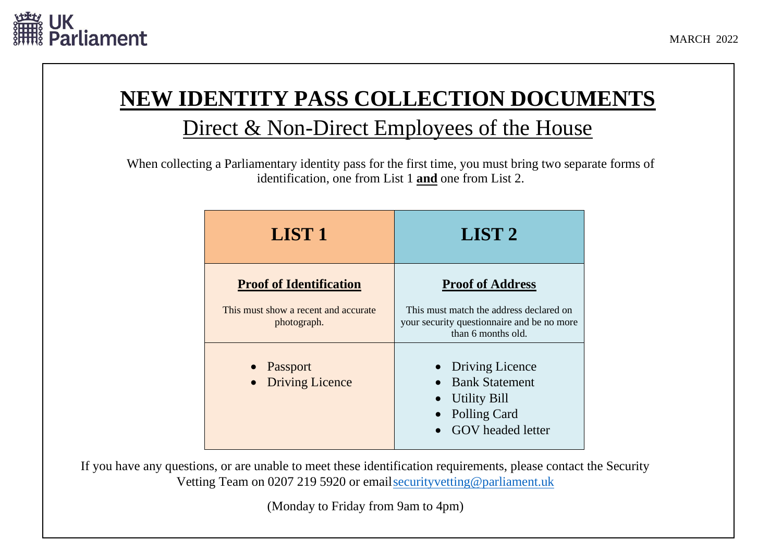

## **NEW IDENTITY PASS COLLECTION DOCUMENTS** Direct & Non-Direct Employees of the House

When collecting a Parliamentary identity pass for the first time, you must bring two separate forms of identification, one from List 1 **and** one from List 2.

| <b>LIST 1</b>                                                                         | LIST <sub>2</sub>                                                                                                                      |
|---------------------------------------------------------------------------------------|----------------------------------------------------------------------------------------------------------------------------------------|
| <b>Proof of Identification</b><br>This must show a recent and accurate<br>photograph. | <b>Proof of Address</b><br>This must match the address declared on<br>your security question aire and be no more<br>than 6 months old. |
| • Passport<br><b>Driving Licence</b><br>$\bullet$                                     | • Driving Licence<br><b>Bank Statement</b><br><b>Utility Bill</b><br><b>Polling Card</b><br><b>GOV</b> headed letter                   |

If you have any questions, or are unable to meet these identification requirements, please contact the Security Vetting Team on 0207 219 5920 or email security vetting @parliament.uk

(Monday to Friday from 9am to 4pm)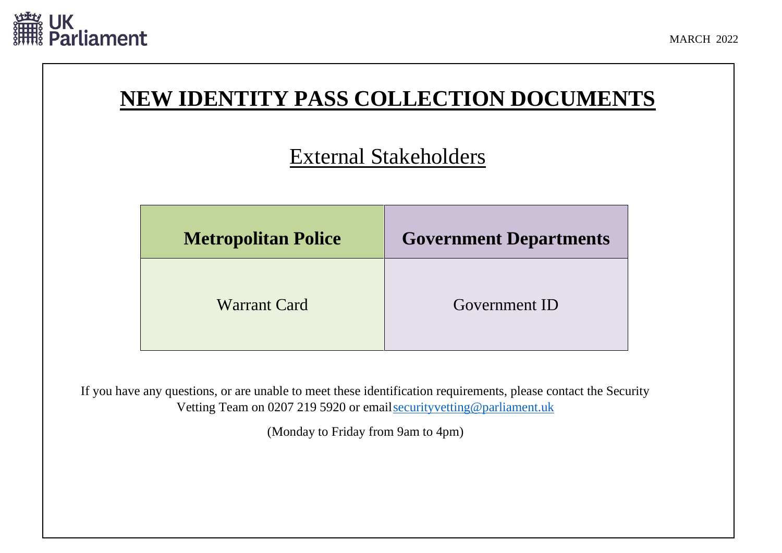

## **NEW IDENTITY PASS COLLECTION DOCUMENTS**

## External Stakeholders

| <b>Metropolitan Police</b> | <b>Government Departments</b> |
|----------------------------|-------------------------------|
| <b>Warrant Card</b>        | Government ID                 |

If you have any questions, or are unable to meet these identification requirements, please contact the Security Vetting Team on 0207 219 5920 or emai[lsecurityvetting@parliament.uk](mailto:securityvetting@parliament.uk)

(Monday to Friday from 9am to 4pm)